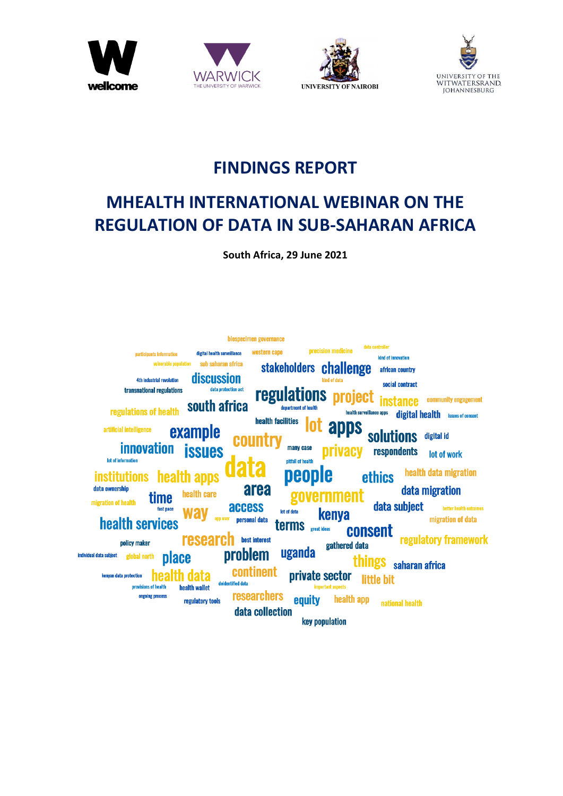







# **FINDINGS REPORT**

# **MHEALTH INTERNATIONAL WEBINAR ON THE REGULATION OF DATA IN SUB-SAHARAN AFRICA**

**South Africa, 29 June 2021**

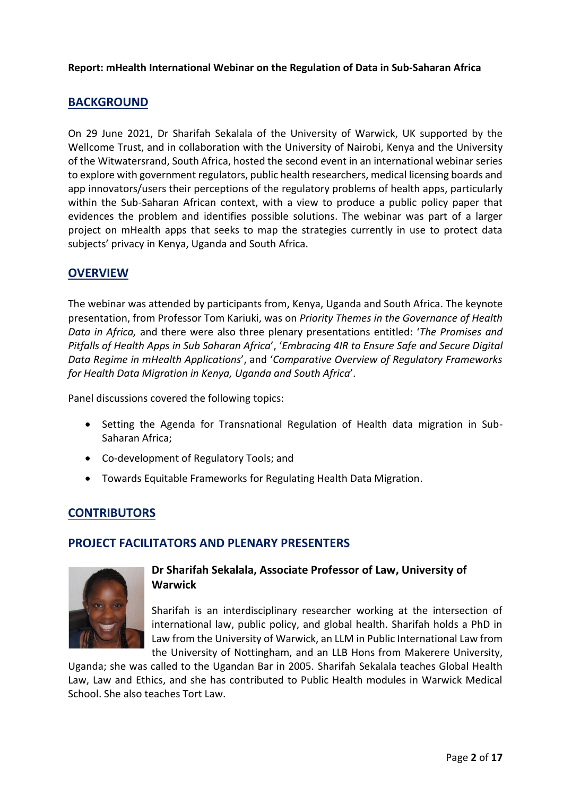# **BACKGROUND**

On 29 June 2021, Dr Sharifah Sekalala of the [University of Warwick,](https://warwick.ac.uk/) UK supported by the [Wellcome Trust,](https://wellcome.org/) and in collaboration with the [University of Nairobi,](https://www.uonbi.ac.ke/) Kenya and the [University](https://www.wits.ac.za/)  [of the Witwatersrand,](https://www.wits.ac.za/) South Africa, hosted the second event in an international webinar series to explore with government regulators, public health researchers, medical licensing boards and app innovators/users their perceptions of the regulatory problems of health apps, particularly within the Sub-Saharan African context, with a view to produce a public policy paper that evidences the problem and identifies possible solutions. The webinar was part of a larger project on mHealth apps that seeks to map the strategies currently in use to protect data subjects' privacy in Kenya, Uganda and South Africa.

# **OVERVIEW**

The webinar was attended by participants from, Kenya, Uganda and South Africa. The keynote presentation, from Professor Tom Kariuki, was on *Priority Themes in the Governance of Health Data in Africa,* and there were also three plenary presentations entitled: '*The Promises and Pitfalls of Health Apps in Sub Saharan Africa*', '*Embracing 4IR to Ensure Safe and Secure Digital Data Regime in mHealth Applications*', and '*Comparative Overview of Regulatory Frameworks for Health Data Migration in Kenya, Uganda and South Africa*'.

Panel discussions covered the following topics:

- Setting the Agenda for Transnational Regulation of Health data migration in Sub-Saharan Africa;
- Co-development of Regulatory Tools; and
- Towards Equitable Frameworks for Regulating Health Data Migration.

# **CONTRIBUTORS**

# **PROJECT FACILITATORS AND PLENARY PRESENTERS**



# **Dr Sharifah Sekalala, Associate Professor of Law, University of Warwick**

Sharifah is an interdisciplinary researcher working at the intersection of international law, public policy, and global health. Sharifah holds a PhD in Law from the University of Warwick, an LLM in Public International Law from the University of Nottingham, and an LLB Hons from Makerere University,

Uganda; she was called to the Ugandan Bar in 2005. Sharifah Sekalala teaches Global Health Law, Law and Ethics, and she has contributed to Public Health modules in Warwick Medical School. She also teaches Tort Law.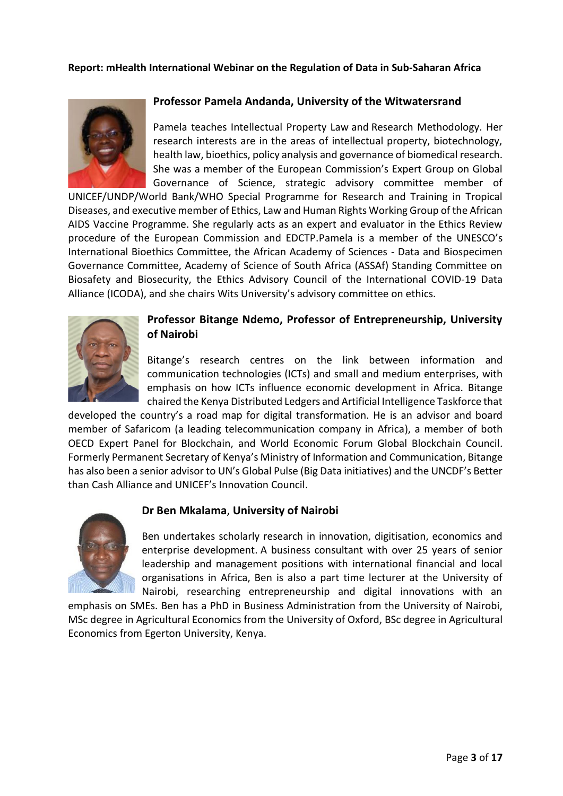

#### **Professor Pamela Andanda, University of the Witwatersrand**

Pamela teaches Intellectual Property Law and Research Methodology. Her research interests are in the areas of intellectual property, biotechnology, health law, bioethics, policy analysis and governance of biomedical research. She was a member of the European Commission's Expert Group on Global Governance of Science, strategic advisory committee member of

UNICEF/UNDP/World Bank/WHO Special Programme for Research and Training in Tropical Diseases, and executive member of Ethics, Law and Human Rights Working Group of the African AIDS Vaccine Programme. She regularly acts as an expert and evaluator in the Ethics Review procedure of the European Commission and EDCTP.Pamela is a member of the UNESCO's International Bioethics Committee, the African Academy of Sciences - Data and Biospecimen Governance Committee, Academy of Science of South Africa (ASSAf) Standing Committee on Biosafety and Biosecurity, the Ethics Advisory Council of the International COVID-19 Data Alliance (ICODA), and she chairs Wits University's advisory committee on ethics.



#### **Professor Bitange Ndemo, Professor of Entrepreneurship, University of Nairobi**

Bitange's research centres on the link between information and communication technologies (ICTs) and small and medium enterprises, with emphasis on how ICTs influence economic development in Africa. Bitange chaired the Kenya Distributed Ledgers and Artificial Intelligence Taskforce that

developed the country's a road map for digital transformation. He is an advisor and board member of Safaricom (a leading telecommunication company in Africa), a member of both OECD Expert Panel for Blockchain, and World Economic Forum Global Blockchain Council. Formerly Permanent Secretary of Kenya's Ministry of Information and Communication, Bitange has also been a senior advisor to UN's Global Pulse (Big Data initiatives) and the UNCDF's Better than Cash Alliance and UNICEF's Innovation Council.

#### **Dr Ben Mkalama**, **University of Nairobi**



Ben undertakes scholarly research in innovation, digitisation, economics and enterprise development. A business consultant with over 25 years of senior leadership and management positions with international financial and local organisations in Africa, Ben is also a part time lecturer at the University of Nairobi, researching entrepreneurship and digital innovations with an

emphasis on SMEs. Ben has a PhD in Business Administration from the University of Nairobi, MSc degree in Agricultural Economics from the University of Oxford, BSc degree in Agricultural Economics from Egerton University, Kenya.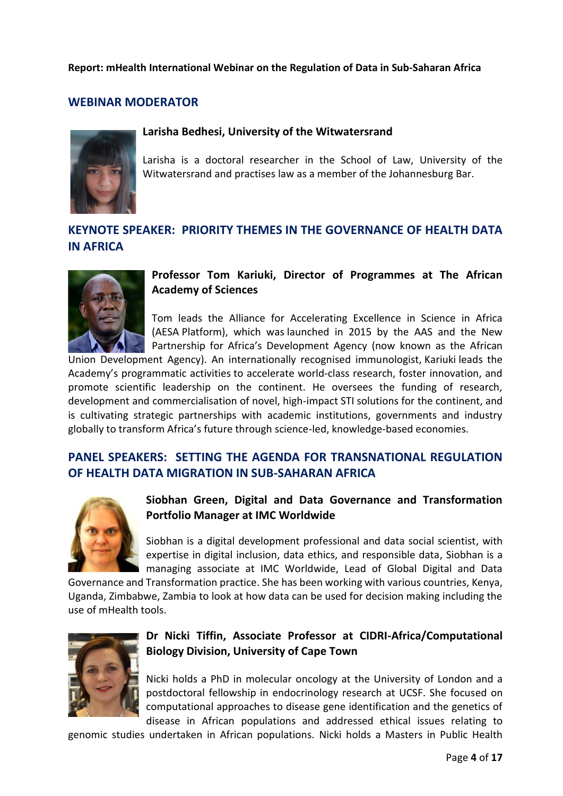# **WEBINAR MODERATOR**



#### **Larisha Bedhesi, University of the Witwatersrand**

Larisha is a doctoral researcher in the School of Law, University of the Witwatersrand and practises law as a member of the Johannesburg Bar.

# **KEYNOTE SPEAKER: PRIORITY THEMES IN THE GOVERNANCE OF HEALTH DATA IN AFRICA**



# **Professor Tom Kariuki, Director of Programmes at The African Academy of Sciences**

Tom leads the Alliance for Accelerating Excellence in Science in Africa (AESA Platform), which was launched in 2015 by the AAS and the New Partnership for Africa's Development Agency (now known as the African

Union Development Agency). An internationally recognised immunologist, Kariuki leads the Academy's programmatic activities to accelerate world-class research, foster innovation, and promote scientific leadership on the continent. He oversees the funding of research, development and commercialisation of novel, high-impact STI solutions for the continent, and is cultivating strategic partnerships with academic institutions, governments and industry globally to transform Africa's future through science-led, knowledge-based economies.

# **PANEL SPEAKERS: SETTING THE AGENDA FOR TRANSNATIONAL REGULATION OF HEALTH DATA MIGRATION IN SUB-SAHARAN AFRICA**



**Siobhan Green, Digital and Data Governance and Transformation Portfolio Manager at IMC Worldwide** 

Siobhan is a digital development professional and data social scientist, with expertise in digital inclusion, data ethics, and responsible data, Siobhan is a managing associate at IMC Worldwide, Lead of Global Digital and Data

Governance and Transformation practice. She has been working with various countries, Kenya, Uganda, Zimbabwe, Zambia to look at how data can be used for decision making including the use of mHealth tools.



# **Dr Nicki Tiffin, Associate Professor at CIDRI-Africa/Computational Biology Division, University of Cape Town**

Nicki holds a PhD in molecular oncology at the University of London and a postdoctoral fellowship in endocrinology research at UCSF. She focused on computational approaches to disease gene identification and the genetics of disease in African populations and addressed ethical issues relating to

genomic studies undertaken in African populations. Nicki holds a Masters in Public Health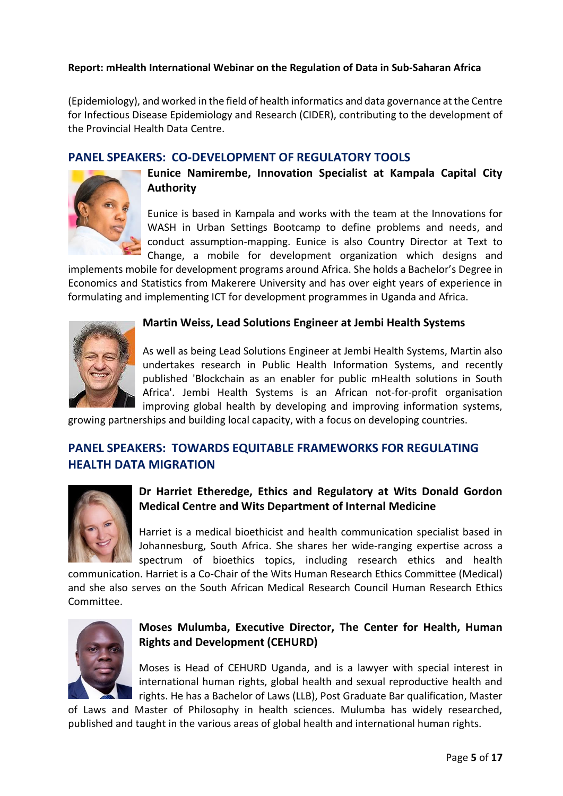(Epidemiology), and worked in the field of health informatics and data governance at the Centre for Infectious Disease Epidemiology and Research (CIDER), contributing to the development of the Provincial Health Data Centre.

# **PANEL SPEAKERS: CO-DEVELOPMENT OF REGULATORY TOOLS**



**Eunice Namirembe, Innovation Specialist at Kampala Capital City Authority**

Eunice is based in Kampala and works with the team at the Innovations for WASH in Urban Settings Bootcamp to define problems and needs, and conduct assumption-mapping. Eunice is also Country Director at Text to Change, a mobile for development organization which designs and

implements mobile for development programs around Africa. She holds a Bachelor's Degree in Economics and Statistics from Makerere University and has over eight years of experience in formulating and implementing ICT for development programmes in Uganda and Africa.



#### **Martin Weiss, Lead Solutions Engineer at Jembi Health Systems**

As well as being Lead Solutions Engineer at Jembi Health Systems, Martin also undertakes research in Public Health Information Systems, and recently published 'Blockchain as an enabler for public mHealth solutions in South Africa'. Jembi Health Systems is an African not-for-profit organisation improving global health by developing and improving information systems,

growing partnerships and building local capacity, with a focus on developing countries.

# **PANEL SPEAKERS: TOWARDS EQUITABLE FRAMEWORKS FOR REGULATING HEALTH DATA MIGRATION**



# **Dr Harriet Etheredge, Ethics and Regulatory at Wits Donald Gordon Medical Centre and Wits Department of Internal Medicine**

Harriet is a medical bioethicist and health communication specialist based in Johannesburg, South Africa. She shares her wide-ranging expertise across a spectrum of bioethics topics, including research ethics and health

communication. Harriet is a Co-Chair of the Wits Human Research Ethics Committee (Medical) and she also serves on the South African Medical Research Council Human Research Ethics Committee.



# **Moses Mulumba, Executive Director, The Center for Health, Human Rights and Development (CEHURD)**

Moses is Head of CEHURD Uganda, and is a lawyer with special interest in international human rights, global health and sexual reproductive health and rights. He has a Bachelor of Laws (LLB), Post Graduate Bar qualification, Master

of Laws and Master of Philosophy in health sciences. Mulumba has widely researched, published and taught in the various areas of global health and international human rights.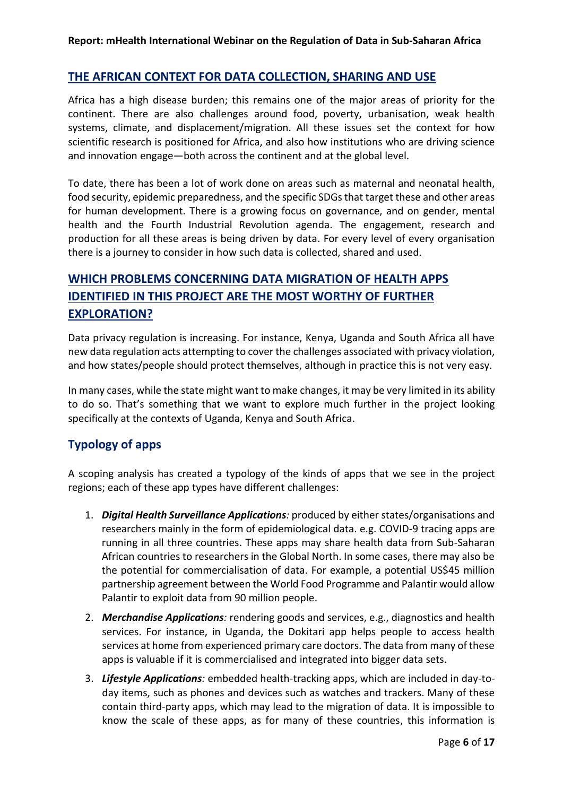# **THE AFRICAN CONTEXT FOR DATA COLLECTION, SHARING AND USE**

Africa has a high disease burden; this remains one of the major areas of priority for the continent. There are also challenges around food, poverty, urbanisation, weak health systems, climate, and displacement/migration. All these issues set the context for how scientific research is positioned for Africa, and also how institutions who are driving science and innovation engage—both across the continent and at the global level.

To date, there has been a lot of work done on areas such as maternal and neonatal health, food security, epidemic preparedness, and the specific SDGs that target these and other areas for human development. There is a growing focus on governance, and on gender, mental health and the Fourth Industrial Revolution agenda. The engagement, research and production for all these areas is being driven by data. For every level of every organisation there is a journey to consider in how such data is collected, shared and used.

# **WHICH PROBLEMS CONCERNING DATA MIGRATION OF HEALTH APPS IDENTIFIED IN THIS PROJECT ARE THE MOST WORTHY OF FURTHER EXPLORATION?**

Data privacy regulation is increasing. For instance, Kenya, Uganda and South Africa all have new data regulation acts attempting to cover the challenges associated with privacy violation, and how states/people should protect themselves, although in practice this is not very easy.

In many cases, while the state might want to make changes, it may be very limited in its ability to do so. That's something that we want to explore much further in the project looking specifically at the contexts of Uganda, Kenya and South Africa.

# **Typology of apps**

A scoping analysis has created a typology of the kinds of apps that we see in the project regions; each of these app types have different challenges:

- 1. *Digital Health Surveillance Applications:* produced by either states/organisations and researchers mainly in the form of epidemiological data. e.g. COVID-9 tracing apps are running in all three countries. These apps may share health data from Sub-Saharan African countries to researchers in the Global North. In some cases, there may also be the potential for commercialisation of data. For example, a potential US\$45 million partnership agreement between the World Food Programme and Palantir would allow Palantir to exploit data from 90 million people.
- 2. *Merchandise Applications:* rendering goods and services, e.g., diagnostics and health services. For instance, in Uganda, the Dokitari app helps people to access health services at home from experienced primary care doctors. The data from many of these apps is valuable if it is commercialised and integrated into bigger data sets.
- 3. *Lifestyle Applications:* embedded health-tracking apps, which are included in day-today items, such as phones and devices such as watches and trackers. Many of these contain third-party apps, which may lead to the migration of data. It is impossible to know the scale of these apps, as for many of these countries, this information is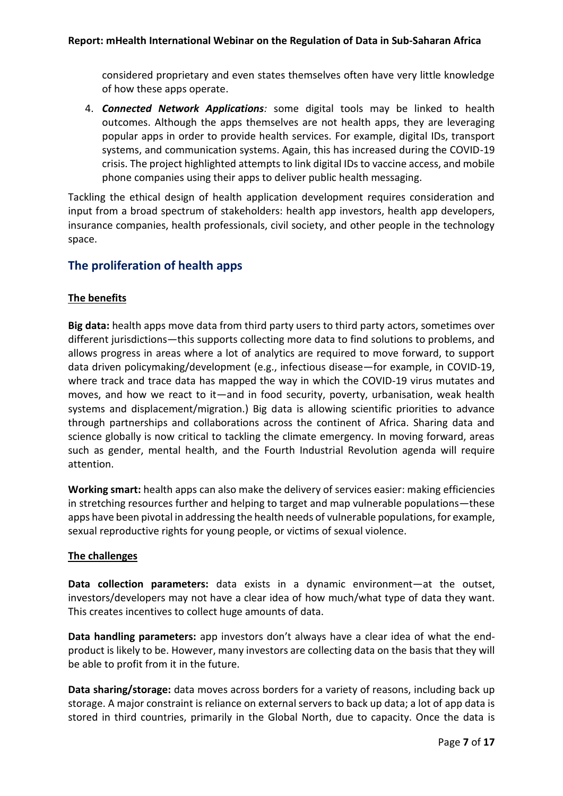considered proprietary and even states themselves often have very little knowledge of how these apps operate.

4. *Connected Network Applications:* some digital tools may be linked to health outcomes. Although the apps themselves are not health apps, they are leveraging popular apps in order to provide health services. For example, digital IDs, transport systems, and communication systems. Again, this has increased during the COVID-19 crisis. The project highlighted attempts to link digital IDs to vaccine access, and mobile phone companies using their apps to deliver public health messaging.

Tackling the ethical design of health application development requires consideration and input from a broad spectrum of stakeholders: health app investors, health app developers, insurance companies, health professionals, civil society, and other people in the technology space.

# **The proliferation of health apps**

# **The benefits**

**Big data:** health apps move data from third party users to third party actors, sometimes over different jurisdictions—this supports collecting more data to find solutions to problems, and allows progress in areas where a lot of analytics are required to move forward, to support data driven policymaking/development (e.g., infectious disease—for example, in COVID-19, where track and trace data has mapped the way in which the COVID-19 virus mutates and moves, and how we react to it—and in food security, poverty, urbanisation, weak health systems and displacement/migration.) Big data is allowing scientific priorities to advance through partnerships and collaborations across the continent of Africa. Sharing data and science globally is now critical to tackling the climate emergency. In moving forward, areas such as gender, mental health, and the Fourth Industrial Revolution agenda will require attention.

**Working smart:** health apps can also make the delivery of services easier: making efficiencies in stretching resources further and helping to target and map vulnerable populations—these apps have been pivotal in addressing the health needs of vulnerable populations, for example, sexual reproductive rights for young people, or victims of sexual violence.

#### **The challenges**

**Data collection parameters:** data exists in a dynamic environment—at the outset, investors/developers may not have a clear idea of how much/what type of data they want. This creates incentives to collect huge amounts of data.

**Data handling parameters:** app investors don't always have a clear idea of what the endproduct is likely to be. However, many investors are collecting data on the basis that they will be able to profit from it in the future.

**Data sharing/storage:** data moves across borders for a variety of reasons, including back up storage. A major constraint is reliance on external servers to back up data; a lot of app data is stored in third countries, primarily in the Global North, due to capacity. Once the data is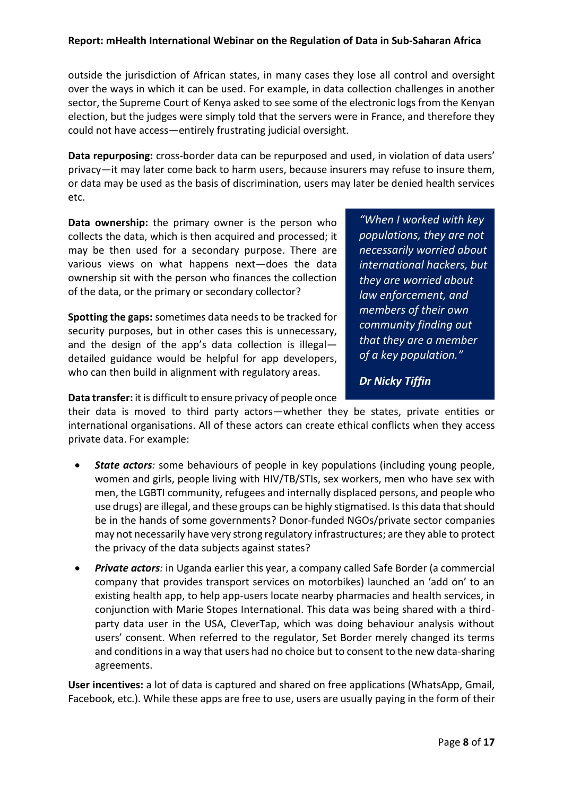outside the jurisdiction of African states, in many cases they lose all control and oversight over the ways in which it can be used. For example, in data collection challenges in another sector, the Supreme Court of Kenya asked to see some of the electronic logs from the Kenyan election, but the judges were simply told that the servers were in France, and therefore they could not have access—entirely frustrating judicial oversight.

**Data repurposing:** cross-border data can be repurposed and used, in violation of data users' privacy—it may later come back to harm users, because insurers may refuse to insure them, or data may be used as the basis of discrimination, users may later be denied health services etc.

**Data ownership:** the primary owner is the person who collects the data, which is then acquired and processed; it may be then used for a secondary purpose. There are various views on what happens next—does the data ownership sit with the person who finances the collection of the data, or the primary or secondary collector?

**Spotting the gaps:** sometimes data needs to be tracked for security purposes, but in other cases this is unnecessary, and the design of the app's data collection is illegal detailed guidance would be helpful for app developers, who can then build in alignment with regulatory areas.

*"When I worked with key populations, they are not necessarily worried about international hackers, but they are worried about law enforcement, and members of their own community finding out that they are a member of a key population."*

*Dr Nicky Tiffin*

**Data transfer:** it is difficult to ensure privacy of people once

their data is moved to third party actors—whether they be states, private entities or international organisations. All of these actors can create ethical conflicts when they access private data. For example:

- **State actors**: some behaviours of people in key populations (including young people, women and girls, people living with HIV/TB/STIs, sex workers, men who have sex with men, the LGBTI community, refugees and internally displaced persons, and people who use drugs) are illegal, and these groups can be highly stigmatised. Is this data that should be in the hands of some governments? Donor-funded NGOs/private sector companies may not necessarily have very strong regulatory infrastructures; are they able to protect the privacy of the data subjects against states?
- *Private actors:* in Uganda earlier this year, a company called Safe Border (a commercial company that provides transport services on motorbikes) launched an 'add on' to an existing health app, to help app-users locate nearby pharmacies and health services, in conjunction with Marie Stopes International. This data was being shared with a thirdparty data user in the USA, CleverTap, which was doing behaviour analysis without users' consent. When referred to the regulator, Set Border merely changed its terms and conditions in a way that users had no choice but to consent to the new data-sharing agreements.

**User incentives:** a lot of data is captured and shared on free applications (WhatsApp, Gmail, Facebook, etc.). While these apps are free to use, users are usually paying in the form of their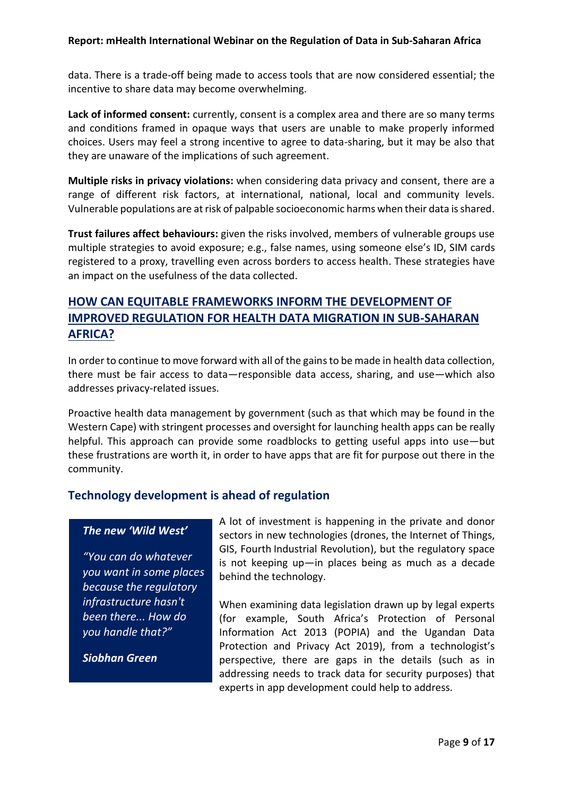data. There is a trade-off being made to access tools that are now considered essential; the incentive to share data may become overwhelming.

**Lack of informed consent:** currently, consent is a complex area and there are so many terms and conditions framed in opaque ways that users are unable to make properly informed choices. Users may feel a strong incentive to agree to data-sharing, but it may be also that they are unaware of the implications of such agreement.

**Multiple risks in privacy violations:** when considering data privacy and consent, there are a range of different risk factors, at international, national, local and community levels. Vulnerable populations are at risk of palpable socioeconomic harms when their data is shared.

**Trust failures affect behaviours:** given the risks involved, members of vulnerable groups use multiple strategies to avoid exposure; e.g., false names, using someone else's ID, SIM cards registered to a proxy, travelling even across borders to access health. These strategies have an impact on the usefulness of the data collected.

# **HOW CAN EQUITABLE FRAMEWORKS INFORM THE DEVELOPMENT OF IMPROVED REGULATION FOR HEALTH DATA MIGRATION IN SUB-SAHARAN AFRICA?**

In order to continue to move forward with all of the gains to be made in health data collection, there must be fair access to data—responsible data access, sharing, and use—which also addresses privacy-related issues.

Proactive health data management by government (such as that which may be found in the Western Cape) with stringent processes and oversight for launching health apps can be really helpful. This approach can provide some roadblocks to getting useful apps into use—but these frustrations are worth it, in order to have apps that are fit for purpose out there in the community.

# **Technology development is ahead of regulation**

#### *The new 'Wild West'*

*"You can do whatever you want in some places because the regulatory infrastructure hasn't been there... How do you handle that?"*

*Siobhan Green*

A lot of investment is happening in the private and donor sectors in new technologies (drones, the Internet of Things, GIS, Fourth Industrial Revolution), but the regulatory space is not keeping up—in places being as much as a decade behind the technology.

When examining data legislation drawn up by legal experts (for example, South Africa's Protection of Personal Information Act 2013 (POPIA) and the Ugandan Data Protection and Privacy Act 2019), from a technologist's perspective, there are gaps in the details (such as in addressing needs to track data for security purposes) that experts in app development could help to address.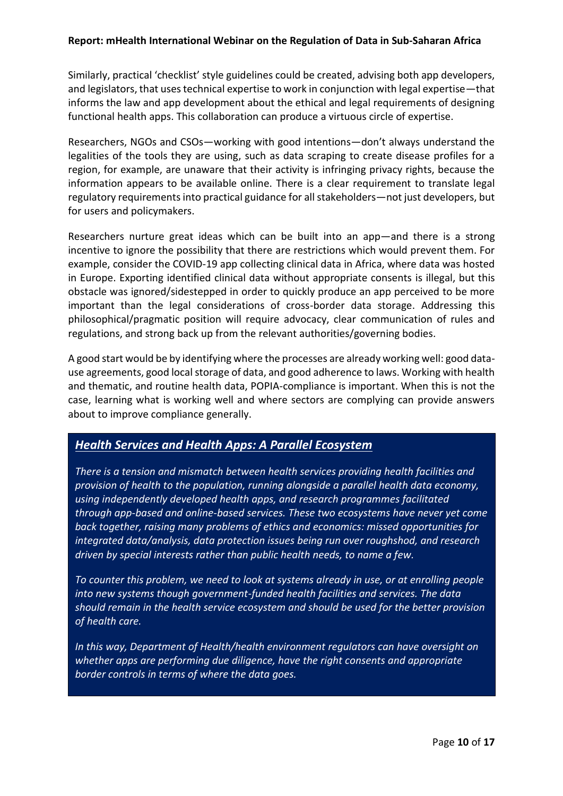Similarly, practical 'checklist' style guidelines could be created, advising both app developers, and legislators, that uses technical expertise to work in conjunction with legal expertise—that informs the law and app development about the ethical and legal requirements of designing functional health apps. This collaboration can produce a virtuous circle of expertise.

Researchers, NGOs and CSOs—working with good intentions—don't always understand the legalities of the tools they are using, such as data scraping to create disease profiles for a region, for example, are unaware that their activity is infringing privacy rights, because the information appears to be available online. There is a clear requirement to translate legal regulatory requirements into practical guidance for all stakeholders—not just developers, but for users and policymakers.

Researchers nurture great ideas which can be built into an app—and there is a strong incentive to ignore the possibility that there are restrictions which would prevent them. For example, consider the COVID-19 app collecting clinical data in Africa, where data was hosted in Europe. Exporting identified clinical data without appropriate consents is illegal, but this obstacle was ignored/sidestepped in order to quickly produce an app perceived to be more important than the legal considerations of cross-border data storage. Addressing this philosophical/pragmatic position will require advocacy, clear communication of rules and regulations, and strong back up from the relevant authorities/governing bodies.

A good start would be by identifying where the processes are already working well: good datause agreements, good local storage of data, and good adherence to laws. Working with health and thematic, and routine health data, POPIA-compliance is important. When this is not the case, learning what is working well and where sectors are complying can provide answers about to improve compliance generally.

# *Health Services and Health Apps: A Parallel Ecosystem*

*There is a tension and mismatch between health services providing health facilities and provision of health to the population, running alongside a parallel health data economy, using independently developed health apps, and research programmes facilitated through app-based and online-based services. These two ecosystems have never yet come back together, raising many problems of ethics and economics: missed opportunities for integrated data/analysis, data protection issues being run over roughshod, and research driven by special interests rather than public health needs, to name a few.*

*To counter this problem, we need to look at systems already in use, or at enrolling people into new systems though government-funded health facilities and services. The data should remain in the health service ecosystem and should be used for the better provision of health care.* 

*In this way, Department of Health/health environment regulators can have oversight on whether apps are performing due diligence, have the right consents and appropriate border controls in terms of where the data goes.*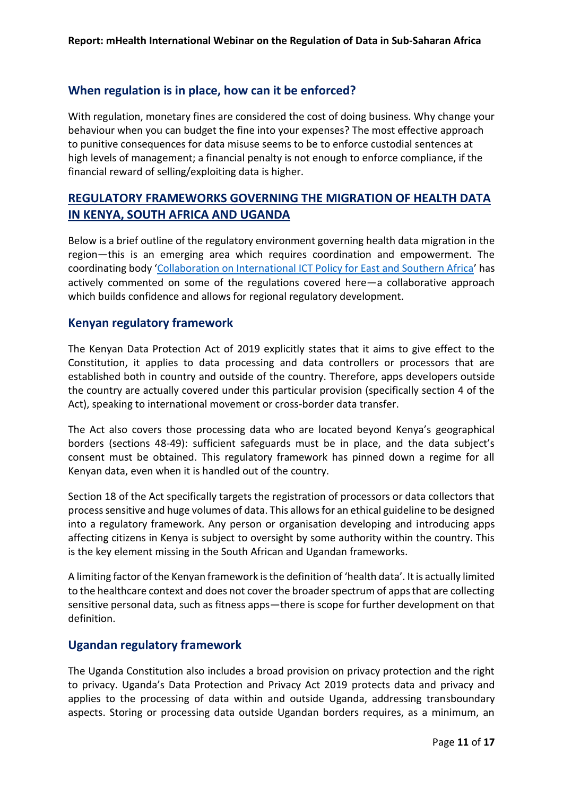# **When regulation is in place, how can it be enforced?**

With regulation, monetary fines are considered the cost of doing business. Why change your behaviour when you can budget the fine into your expenses? The most effective approach to punitive consequences for data misuse seems to be to enforce custodial sentences at high levels of management; a financial penalty is not enough to enforce compliance, if the financial reward of selling/exploiting data is higher.

# **REGULATORY FRAMEWORKS GOVERNING THE MIGRATION OF HEALTH DATA IN KENYA, SOUTH AFRICA AND UGANDA**

Below is a brief outline of the regulatory environment governing health data migration in the region—this is an emerging area which requires coordination and empowerment. The coordinating body '[Collaboration on International ICT Policy for East and Southern Africa](https://www.apc.org/en/member/collaboration-international-ict-policy-east-and-southern-africa-cipesa#:~:text=Since%20its%20inception%20in%202004,understand%20international%20ICT%20policy%20issues.)' has actively commented on some of the regulations covered here—a collaborative approach which builds confidence and allows for regional regulatory development.

# **Kenyan regulatory framework**

The Kenyan Data Protection Act of 2019 explicitly states that it aims to give effect to the Constitution, it applies to data processing and data controllers or processors that are established both in country and outside of the country. Therefore, apps developers outside the country are actually covered under this particular provision (specifically section 4 of the Act), speaking to international movement or cross-border data transfer.

The Act also covers those processing data who are located beyond Kenya's geographical borders (sections 48-49): sufficient safeguards must be in place, and the data subject's consent must be obtained. This regulatory framework has pinned down a regime for all Kenyan data, even when it is handled out of the country.

Section 18 of the Act specifically targets the registration of processors or data collectors that process sensitive and huge volumes of data. This allows for an ethical guideline to be designed into a regulatory framework. Any person or organisation developing and introducing apps affecting citizens in Kenya is subject to oversight by some authority within the country. This is the key element missing in the South African and Ugandan frameworks.

A limiting factor of the Kenyan framework is the definition of 'health data'. It is actually limited to the healthcare context and does not cover the broader spectrum of apps that are collecting sensitive personal data, such as fitness apps—there is scope for further development on that definition.

# **Ugandan regulatory framework**

The Uganda Constitution also includes a broad provision on privacy protection and the right to privacy. Uganda's Data Protection and Privacy Act 2019 protects data and privacy and applies to the processing of data within and outside Uganda, addressing transboundary aspects. Storing or processing data outside Ugandan borders requires, as a minimum, an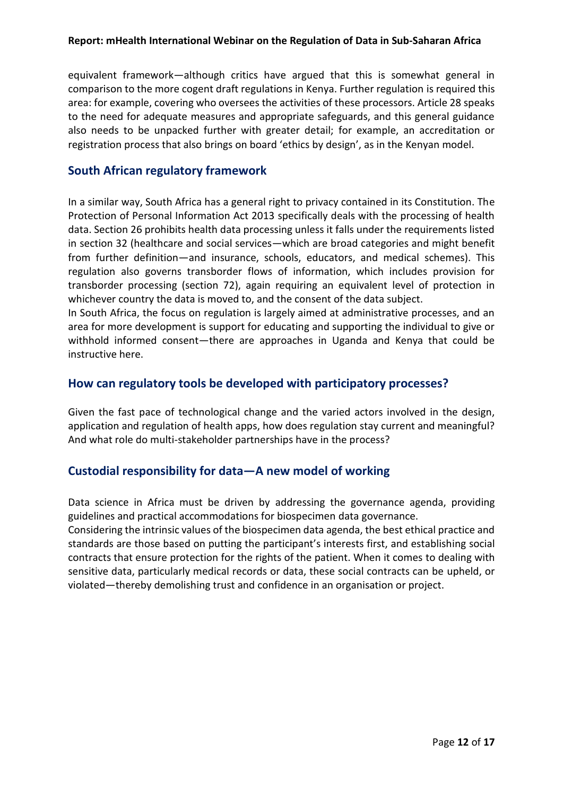equivalent framework—although critics have argued that this is somewhat general in comparison to the more cogent draft regulations in Kenya. Further regulation is required this area: for example, covering who oversees the activities of these processors. Article 28 speaks to the need for adequate measures and appropriate safeguards, and this general guidance also needs to be unpacked further with greater detail; for example, an accreditation or registration process that also brings on board 'ethics by design', as in the Kenyan model.

# **South African regulatory framework**

In a similar way, South Africa has a general right to privacy contained in its Constitution. The Protection of Personal Information Act 2013 specifically deals with the processing of health data. Section 26 prohibits health data processing unless it falls under the requirements listed in section 32 (healthcare and social services—which are broad categories and might benefit from further definition—and insurance, schools, educators, and medical schemes). This regulation also governs transborder flows of information, which includes provision for transborder processing (section 72), again requiring an equivalent level of protection in whichever country the data is moved to, and the consent of the data subject.

In South Africa, the focus on regulation is largely aimed at administrative processes, and an area for more development is support for educating and supporting the individual to give or withhold informed consent—there are approaches in Uganda and Kenya that could be instructive here.

# **How can regulatory tools be developed with participatory processes?**

Given the fast pace of technological change and the varied actors involved in the design, application and regulation of health apps, how does regulation stay current and meaningful? And what role do multi-stakeholder partnerships have in the process?

# **Custodial responsibility for data—A new model of working**

Data science in Africa must be driven by addressing the governance agenda, providing guidelines and practical accommodations for biospecimen data governance.

Considering the intrinsic values of the biospecimen data agenda, the best ethical practice and standards are those based on putting the participant's interests first, and establishing social contracts that ensure protection for the rights of the patient. When it comes to dealing with sensitive data, particularly medical records or data, these social contracts can be upheld, or violated—thereby demolishing trust and confidence in an organisation or project.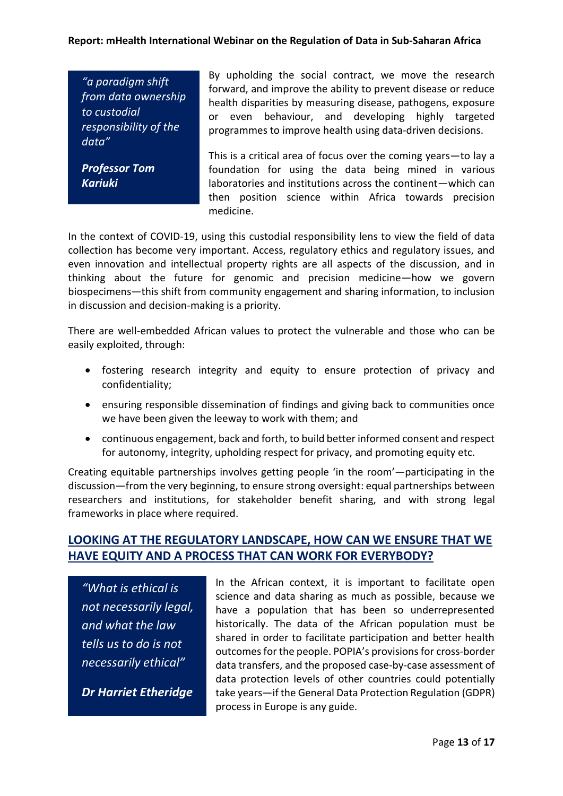*"a paradigm shift from data ownership to custodial responsibility of the data"*

*Professor Tom Kariuki*

By upholding the social contract, we move the research forward, and improve the ability to prevent disease or reduce health disparities by measuring disease, pathogens, exposure or even behaviour, and developing highly targeted programmes to improve health using data-driven decisions.

This is a critical area of focus over the coming years—to lay a foundation for using the data being mined in various laboratories and institutions across the continent—which can then position science within Africa towards precision medicine.

In the context of COVID-19, using this custodial responsibility lens to view the field of data collection has become very important. Access, regulatory ethics and regulatory issues, and even innovation and intellectual property rights are all aspects of the discussion, and in thinking about the future for genomic and precision medicine—how we govern biospecimens—this shift from community engagement and sharing information, to inclusion in discussion and decision-making is a priority.

There are well-embedded African values to protect the vulnerable and those who can be easily exploited, through:

- fostering research integrity and equity to ensure protection of privacy and confidentiality;
- ensuring responsible dissemination of findings and giving back to communities once we have been given the leeway to work with them; and
- continuous engagement, back and forth, to build better informed consent and respect for autonomy, integrity, upholding respect for privacy, and promoting equity etc.

Creating equitable partnerships involves getting people 'in the room'—participating in the discussion—from the very beginning, to ensure strong oversight: equal partnerships between researchers and institutions, for stakeholder benefit sharing, and with strong legal frameworks in place where required.

# **LOOKING AT THE REGULATORY LANDSCAPE, HOW CAN WE ENSURE THAT WE HAVE EQUITY AND A PROCESS THAT CAN WORK FOR EVERYBODY?**

*"What is ethical is not necessarily legal, and what the law tells us to do is not necessarily ethical"*

*Dr Harriet Etheridge*

In the African context, it is important to facilitate open science and data sharing as much as possible, because we have a population that has been so underrepresented historically. The data of the African population must be shared in order to facilitate participation and better health outcomes for the people. POPIA's provisions for cross-border data transfers, and the proposed case-by-case assessment of data protection levels of other countries could potentially take years—if the General Data Protection Regulation (GDPR) process in Europe is any guide.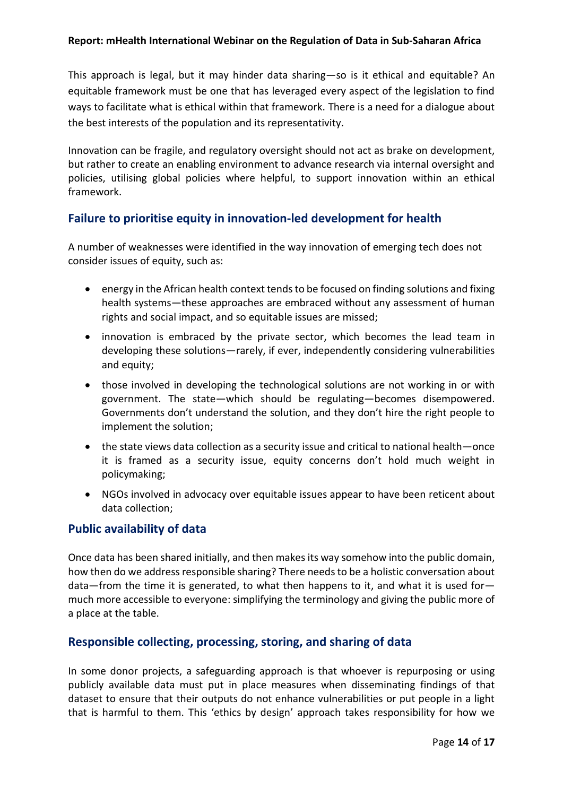This approach is legal, but it may hinder data sharing—so is it ethical and equitable? An equitable framework must be one that has leveraged every aspect of the legislation to find ways to facilitate what is ethical within that framework. There is a need for a dialogue about the best interests of the population and its representativity.

Innovation can be fragile, and regulatory oversight should not act as brake on development, but rather to create an enabling environment to advance research via internal oversight and policies, utilising global policies where helpful, to support innovation within an ethical framework.

# **Failure to prioritise equity in innovation-led development for health**

A number of weaknesses were identified in the way innovation of emerging tech does not consider issues of equity, such as:

- energy in the African health context tends to be focused on finding solutions and fixing health systems—these approaches are embraced without any assessment of human rights and social impact, and so equitable issues are missed;
- innovation is embraced by the private sector, which becomes the lead team in developing these solutions—rarely, if ever, independently considering vulnerabilities and equity;
- those involved in developing the technological solutions are not working in or with government. The state—which should be regulating—becomes disempowered. Governments don't understand the solution, and they don't hire the right people to implement the solution;
- the state views data collection as a security issue and critical to national health—once it is framed as a security issue, equity concerns don't hold much weight in policymaking;
- NGOs involved in advocacy over equitable issues appear to have been reticent about data collection;

# **Public availability of data**

Once data has been shared initially, and then makes its way somehow into the public domain, how then do we address responsible sharing? There needs to be a holistic conversation about data—from the time it is generated, to what then happens to it, and what it is used for much more accessible to everyone: simplifying the terminology and giving the public more of a place at the table.

# **Responsible collecting, processing, storing, and sharing of data**

In some donor projects, a safeguarding approach is that whoever is repurposing or using publicly available data must put in place measures when disseminating findings of that dataset to ensure that their outputs do not enhance vulnerabilities or put people in a light that is harmful to them. This 'ethics by design' approach takes responsibility for how we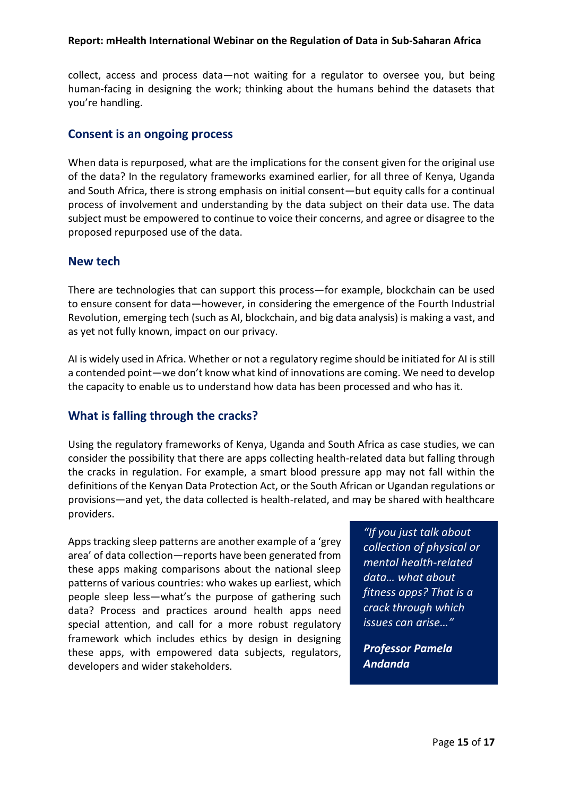collect, access and process data—not waiting for a regulator to oversee you, but being human-facing in designing the work; thinking about the humans behind the datasets that you're handling.

### **Consent is an ongoing process**

When data is repurposed, what are the implications for the consent given for the original use of the data? In the regulatory frameworks examined earlier, for all three of Kenya, Uganda and South Africa, there is strong emphasis on initial consent—but equity calls for a continual process of involvement and understanding by the data subject on their data use. The data subject must be empowered to continue to voice their concerns, and agree or disagree to the proposed repurposed use of the data.

#### **New tech**

There are technologies that can support this process—for example, blockchain can be used to ensure consent for data—however, in considering the emergence of the Fourth Industrial Revolution, emerging tech (such as AI, blockchain, and big data analysis) is making a vast, and as yet not fully known, impact on our privacy.

AI is widely used in Africa. Whether or not a regulatory regime should be initiated for AI is still a contended point—we don't know what kind of innovations are coming. We need to develop the capacity to enable us to understand how data has been processed and who has it.

# **What is falling through the cracks?**

Using the regulatory frameworks of Kenya, Uganda and South Africa as case studies, we can consider the possibility that there are apps collecting health-related data but falling through the cracks in regulation. For example, a smart blood pressure app may not fall within the definitions of the Kenyan Data Protection Act, or the South African or Ugandan regulations or provisions—and yet, the data collected is health-related, and may be shared with healthcare providers.

Apps tracking sleep patterns are another example of a 'grey area' of data collection—reports have been generated from these apps making comparisons about the national sleep patterns of various countries: who wakes up earliest, which people sleep less—what's the purpose of gathering such data? Process and practices around health apps need special attention, and call for a more robust regulatory framework which includes ethics by design in designing these apps, with empowered data subjects, regulators, developers and wider stakeholders.

*"If you just talk about collection of physical or mental health-related data… what about fitness apps? That is a crack through which issues can arise…"*

*Professor Pamela Andanda*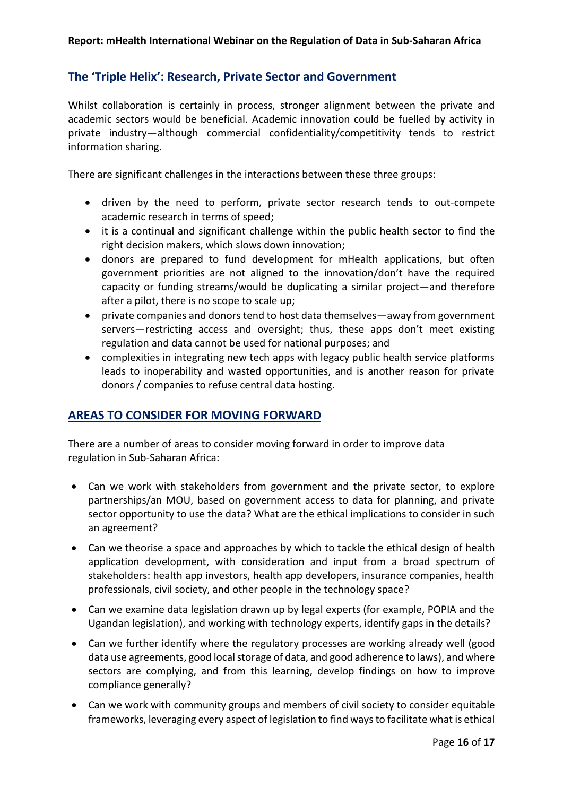# **The 'Triple Helix': Research, Private Sector and Government**

Whilst collaboration is certainly in process, stronger alignment between the private and academic sectors would be beneficial. Academic innovation could be fuelled by activity in private industry—although commercial confidentiality/competitivity tends to restrict information sharing.

There are significant challenges in the interactions between these three groups:

- driven by the need to perform, private sector research tends to out-compete academic research in terms of speed;
- it is a continual and significant challenge within the public health sector to find the right decision makers, which slows down innovation;
- donors are prepared to fund development for mHealth applications, but often government priorities are not aligned to the innovation/don't have the required capacity or funding streams/would be duplicating a similar project—and therefore after a pilot, there is no scope to scale up;
- private companies and donors tend to host data themselves—away from government servers—restricting access and oversight; thus, these apps don't meet existing regulation and data cannot be used for national purposes; and
- complexities in integrating new tech apps with legacy public health service platforms leads to inoperability and wasted opportunities, and is another reason for private donors / companies to refuse central data hosting.

# **AREAS TO CONSIDER FOR MOVING FORWARD**

There are a number of areas to consider moving forward in order to improve data regulation in Sub-Saharan Africa:

- Can we work with stakeholders from government and the private sector, to explore partnerships/an MOU, based on government access to data for planning, and private sector opportunity to use the data? What are the ethical implications to consider in such an agreement?
- Can we theorise a space and approaches by which to tackle the ethical design of health application development, with consideration and input from a broad spectrum of stakeholders: health app investors, health app developers, insurance companies, health professionals, civil society, and other people in the technology space?
- Can we examine data legislation drawn up by legal experts (for example, POPIA and the Ugandan legislation), and working with technology experts, identify gaps in the details?
- Can we further identify where the regulatory processes are working already well (good data use agreements, good local storage of data, and good adherence to laws), and where sectors are complying, and from this learning, develop findings on how to improve compliance generally?
- Can we work with community groups and members of civil society to consider equitable frameworks, leveraging every aspect of legislation to find ways to facilitate what is ethical